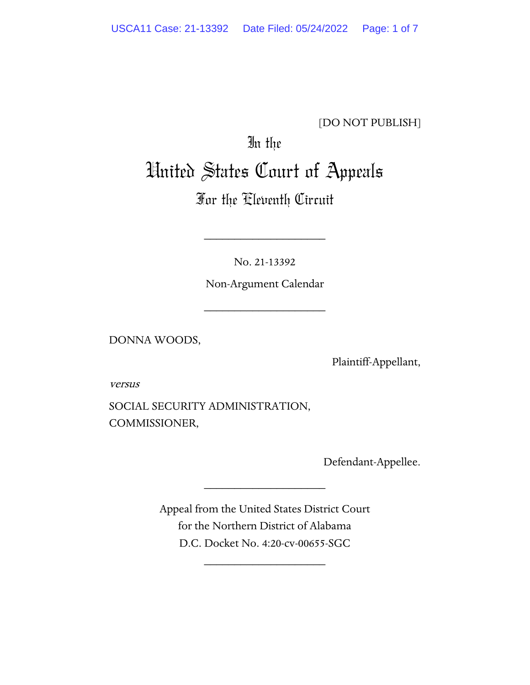### [DO NOT PUBLISH]

# In the United States Court of Appeals

## For the Eleventh Circuit

No. 21-13392

\_\_\_\_\_\_\_\_\_\_\_\_\_\_\_\_\_\_\_\_

Non-Argument Calendar

\_\_\_\_\_\_\_\_\_\_\_\_\_\_\_\_\_\_\_\_

DONNA WOODS,

Plaintiff-Appellant,

versus

SOCIAL SECURITY ADMINISTRATION, COMMISSIONER,

Defendant-Appellee.

Appeal from the United States District Court for the Northern District of Alabama D.C. Docket No. 4:20-cv-00655-SGC

\_\_\_\_\_\_\_\_\_\_\_\_\_\_\_\_\_\_\_\_

\_\_\_\_\_\_\_\_\_\_\_\_\_\_\_\_\_\_\_\_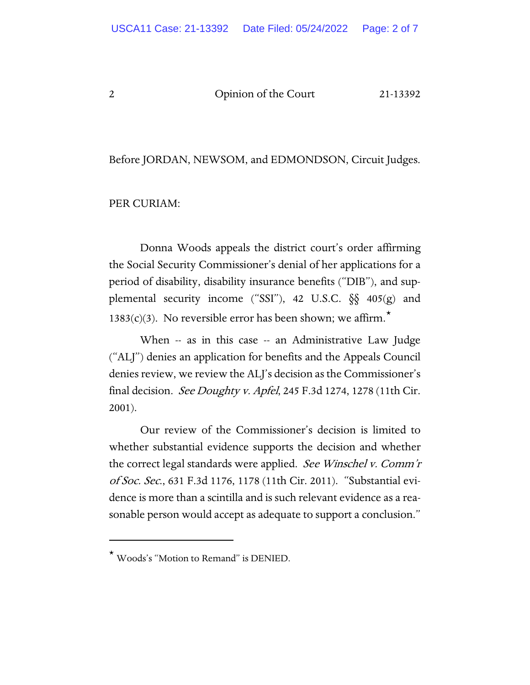2 Opinion of the Court 21-13392

Before JORDAN, NEWSOM, and EDMONDSON, Circuit Judges.

PER CURIAM:

Donna Woods appeals the district court's order affirming the Social Security Commissioner's denial of her applications for a period of disability, disability insurance benefits ("DIB"), and supplemental security income ("SSI"), 42 U.S.C. §§ 405(g) and 1383(c)(3). No reversible error has been shown; we affirm.<sup>[\\*](#page-1-0)</sup>

When -- as in this case -- an Administrative Law Judge ("ALJ") denies an application for benefits and the Appeals Council denies review, we review the ALJ's decision as the Commissioner's final decision. See Doughty v. Apfel, 245 F.3d 1274, 1278 (11th Cir. 2001).

Our review of the Commissioner's decision is limited to whether substantial evidence supports the decision and whether the correct legal standards were applied. See Winschel v. Comm'r of Soc. Sec., 631 F.3d 1176, 1178 (11th Cir. 2011). "Substantial evidence is more than a scintilla and is such relevant evidence as a reasonable person would accept as adequate to support a conclusion."

<span id="page-1-0"></span><sup>\*</sup> Woods's "Motion to Remand" is DENIED.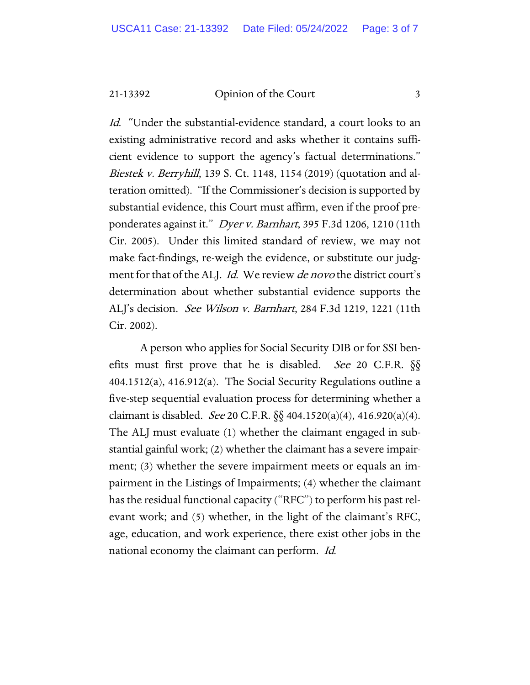21-13392 Opinion of the Court 3

Id. "Under the substantial-evidence standard, a court looks to an existing administrative record and asks whether it contains sufficient evidence to support the agency's factual determinations." Biestek v. Berryhill, 139 S. Ct. 1148, 1154 (2019) (quotation and alteration omitted). "If the Commissioner's decision is supported by substantial evidence, this Court must affirm, even if the proof preponderates against it." Dyer v. Barnhart, 395 F.3d 1206, 1210 (11th Cir. 2005). Under this limited standard of review, we may not make fact-findings, re-weigh the evidence, or substitute our judgment for that of the ALJ. Id. We review de novo the district court's determination about whether substantial evidence supports the ALJ's decision. See Wilson v. Barnhart, 284 F.3d 1219, 1221 (11th Cir. 2002).

A person who applies for Social Security DIB or for SSI benefits must first prove that he is disabled. See 20 C.F.R.  $\S$ 404.1512(a), 416.912(a). The Social Security Regulations outline a five-step sequential evaluation process for determining whether a claimant is disabled. See 20 C.F.R.  $\S$ § 404.1520(a)(4), 416.920(a)(4). The ALJ must evaluate (1) whether the claimant engaged in substantial gainful work; (2) whether the claimant has a severe impairment; (3) whether the severe impairment meets or equals an impairment in the Listings of Impairments; (4) whether the claimant has the residual functional capacity ("RFC") to perform his past relevant work; and (5) whether, in the light of the claimant's RFC, age, education, and work experience, there exist other jobs in the national economy the claimant can perform. Id.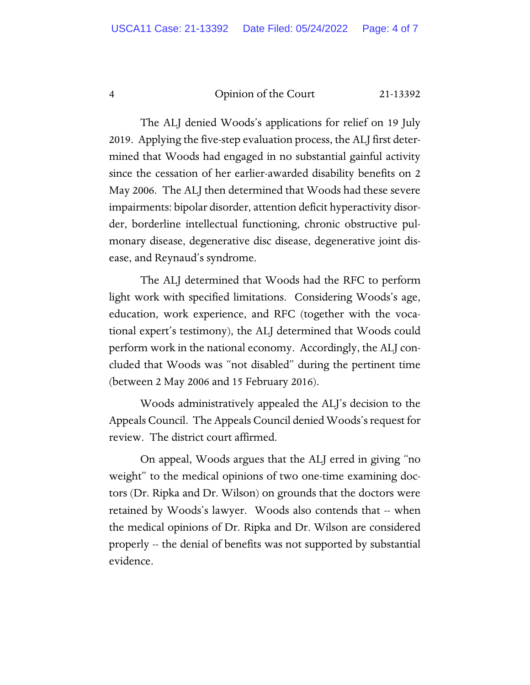### 4 Opinion of the Court 21-13392

The ALJ denied Woods's applications for relief on 19 July 2019. Applying the five-step evaluation process, the ALJ first determined that Woods had engaged in no substantial gainful activity since the cessation of her earlier-awarded disability benefits on 2 May 2006. The ALJ then determined that Woods had these severe impairments: bipolar disorder, attention deficit hyperactivity disorder, borderline intellectual functioning, chronic obstructive pulmonary disease, degenerative disc disease, degenerative joint disease, and Reynaud's syndrome.

The ALJ determined that Woods had the RFC to perform light work with specified limitations. Considering Woods's age, education, work experience, and RFC (together with the vocational expert's testimony), the ALJ determined that Woods could perform work in the national economy. Accordingly, the ALJ concluded that Woods was "not disabled" during the pertinent time (between 2 May 2006 and 15 February 2016).

Woods administratively appealed the ALJ's decision to the Appeals Council. The Appeals Council denied Woods's request for review. The district court affirmed.

On appeal, Woods argues that the ALJ erred in giving "no weight" to the medical opinions of two one-time examining doctors (Dr. Ripka and Dr. Wilson) on grounds that the doctors were retained by Woods's lawyer. Woods also contends that -- when the medical opinions of Dr. Ripka and Dr. Wilson are considered properly -- the denial of benefits was not supported by substantial evidence.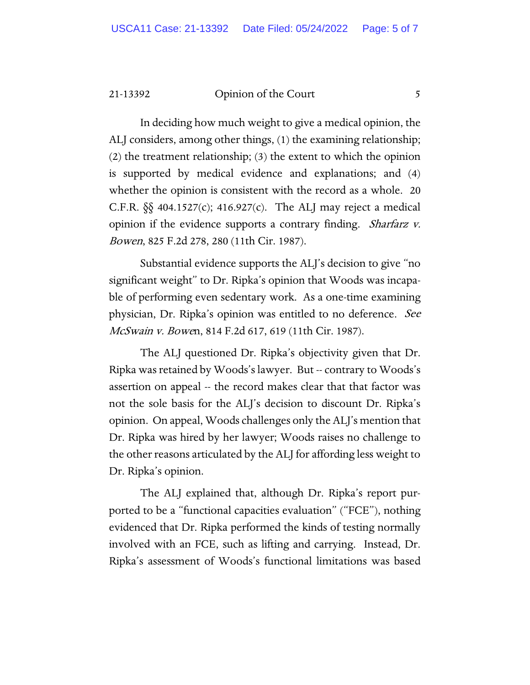#### 21-13392 Opinion of the Court 5

In deciding how much weight to give a medical opinion, the ALJ considers, among other things, (1) the examining relationship; (2) the treatment relationship; (3) the extent to which the opinion is supported by medical evidence and explanations; and (4) whether the opinion is consistent with the record as a whole. 20 C.F.R.  $\S$  404.1527(c); 416.927(c). The ALJ may reject a medical opinion if the evidence supports a contrary finding. Sharfarz v. Bowen, 825 F.2d 278, 280 (11th Cir. 1987).

Substantial evidence supports the ALJ's decision to give "no significant weight" to Dr. Ripka's opinion that Woods was incapable of performing even sedentary work. As a one-time examining physician, Dr. Ripka's opinion was entitled to no deference. See McSwain v. Bowen, 814 F.2d 617, 619 (11th Cir. 1987).

The ALJ questioned Dr. Ripka's objectivity given that Dr. Ripka was retained by Woods's lawyer. But -- contrary to Woods's assertion on appeal -- the record makes clear that that factor was not the sole basis for the ALJ's decision to discount Dr. Ripka's opinion. On appeal, Woods challenges only the ALJ's mention that Dr. Ripka was hired by her lawyer; Woods raises no challenge to the other reasons articulated by the ALJ for affording less weight to Dr. Ripka's opinion.

The ALJ explained that, although Dr. Ripka's report purported to be a "functional capacities evaluation" ("FCE"), nothing evidenced that Dr. Ripka performed the kinds of testing normally involved with an FCE, such as lifting and carrying. Instead, Dr. Ripka's assessment of Woods's functional limitations was based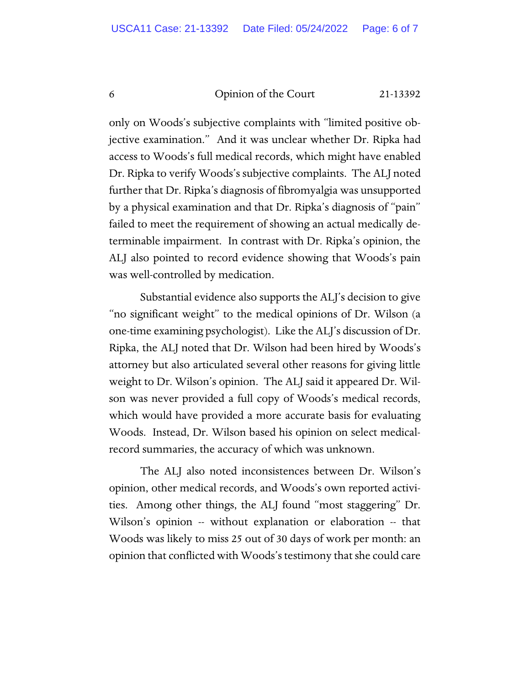6 Opinion of the Court 21-13392

only on Woods's subjective complaints with "limited positive objective examination." And it was unclear whether Dr. Ripka had access to Woods's full medical records, which might have enabled Dr. Ripka to verify Woods's subjective complaints. The ALJ noted further that Dr. Ripka's diagnosis of fibromyalgia was unsupported by a physical examination and that Dr. Ripka's diagnosis of "pain" failed to meet the requirement of showing an actual medically determinable impairment. In contrast with Dr. Ripka's opinion, the ALJ also pointed to record evidence showing that Woods's pain was well-controlled by medication.

Substantial evidence also supports the ALJ's decision to give "no significant weight" to the medical opinions of Dr. Wilson (a one-time examining psychologist). Like the ALJ's discussion of Dr. Ripka, the ALJ noted that Dr. Wilson had been hired by Woods's attorney but also articulated several other reasons for giving little weight to Dr. Wilson's opinion. The ALJ said it appeared Dr. Wilson was never provided a full copy of Woods's medical records, which would have provided a more accurate basis for evaluating Woods. Instead, Dr. Wilson based his opinion on select medicalrecord summaries, the accuracy of which was unknown.

The ALJ also noted inconsistences between Dr. Wilson's opinion, other medical records, and Woods's own reported activities. Among other things, the ALJ found "most staggering" Dr. Wilson's opinion -- without explanation or elaboration -- that Woods was likely to miss 25 out of 30 days of work per month: an opinion that conflicted with Woods's testimony that she could care